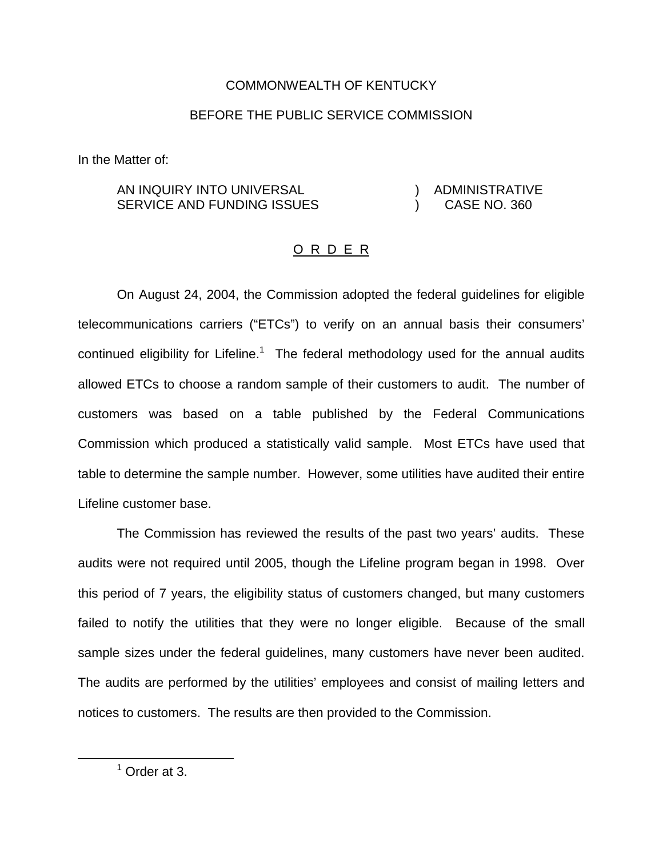## COMMONWEALTH OF KENTUCKY

## BEFORE THE PUBLIC SERVICE COMMISSION

In the Matter of:

## AN INQUIRY INTO UNIVERSAL SERVICE AND FUNDING ISSUES ) ADMINISTRATIVE ) CASE NO. 360

## O R D E R

On August 24, 2004, the Commission adopted the federal guidelines for eligible telecommunications carriers ("ETCs") to verify on an annual basis their consumers' continued eligibility for Lifeline.<sup>1</sup> The federal methodology used for the annual audits allowed ETCs to choose a random sample of their customers to audit. The number of customers was based on a table published by the Federal Communications Commission which produced a statistically valid sample. Most ETCs have used that table to determine the sample number. However, some utilities have audited their entire Lifeline customer base.

The Commission has reviewed the results of the past two years' audits. These audits were not required until 2005, though the Lifeline program began in 1998. Over this period of 7 years, the eligibility status of customers changed, but many customers failed to notify the utilities that they were no longer eligible. Because of the small sample sizes under the federal guidelines, many customers have never been audited. The audits are performed by the utilities' employees and consist of mailing letters and notices to customers. The results are then provided to the Commission.

 $<sup>1</sup>$  Order at 3.</sup>